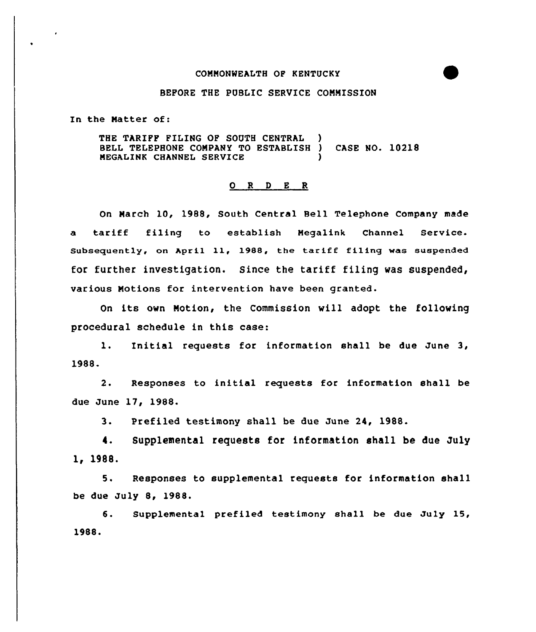## COMNONWEALTH OP KENTUCKY

## BEFORE THE PUBLIC SERVICE CONMISSION

In the Natter of:

THE TARIFF FILING OF SOUTH CENTRAL BELL TELEPHONE COMPANY TO ESTABLISH ) CASE NO. 10218 NEGALINK CHANNEL SERVICE )

## 0 <sup>R</sup> <sup>D</sup> E <sup>R</sup>

On Narch 10, 1988, South Central Bell Telephone Company made a tariff filing to establish Negalink Channel Service. Subseguently, on April ll, l988, the tarlft filing was suspended for further investigation. Since the tariff filing was suspended, various Notions for intervention have been granted.

On its own Notion, the Commission will adopt the following procedural schedule in this case:

1. Initial requests for information shall be due June 3, 1988.

2. Responses to initial requests for information shall be due June 17, 1988.

3. Prefiled testimony shall be due June 24, 1988.

4. Supplemental requests for information shall be due July 1, 1988.

5. Responses to supplemental requests for information shall be due July 8, 1988.

6. Supplemental prefiled testimony shall be due July 15, 1988.